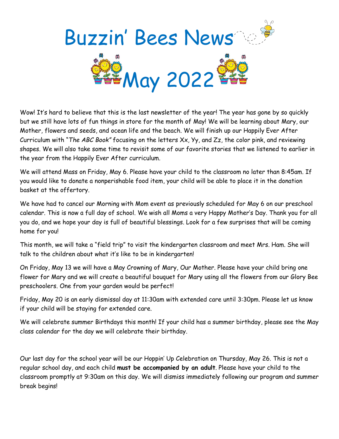

Wow! It's hard to believe that this is the last newsletter of the year! The year has gone by so quickly but we still have lots of fun things in store for the month of May! We will be learning about Mary, our Mother, flowers and seeds, and ocean life and the beach. We will finish up our Happily Ever After Curriculum with "*The ABC Book"* focusing on the letters Xx, Yy, and Zz, the color pink, and reviewing shapes. We will also take some time to revisit some of our favorite stories that we listened to earlier in the year from the Happily Ever After curriculum.

We will attend Mass on Friday, May 6. Please have your child to the classroom no later than 8:45am. If you would like to donate a nonperishable food item, your child will be able to place it in the donation basket at the offertory.

We have had to cancel our Morning with Mom event as previously scheduled for May 6 on our preschool calendar. This is now a full day of school. We wish all Moms a very Happy Mother's Day. Thank you for all you do, and we hope your day is full of beautiful blessings. Look for a few surprises that will be coming home for you!

This month, we will take a "field trip" to visit the kindergarten classroom and meet Mrs. Ham. She will talk to the children about what it's like to be in kindergarten!

On Friday, May 13 we will have a May Crowning of Mary, Our Mother. Please have your child bring one flower for Mary and we will create a beautiful bouquet for Mary using all the flowers from our Glory Bee preschoolers. One from your garden would be perfect!

Friday, May 20 is an early dismissal day at 11:30am with extended care until 3:30pm. Please let us know if your child will be staying for extended care.

We will celebrate summer Birthdays this month! If your child has a summer birthday, please see the May class calendar for the day we will celebrate their birthday.

Our last day for the school year will be our Hoppin' Up Celebration on Thursday, May 26. This is not a regular school day, and each child **must be accompanied by an adult**. Please have your child to the classroom promptly at 9:30am on this day. We will dismiss immediately following our program and summer break begins!